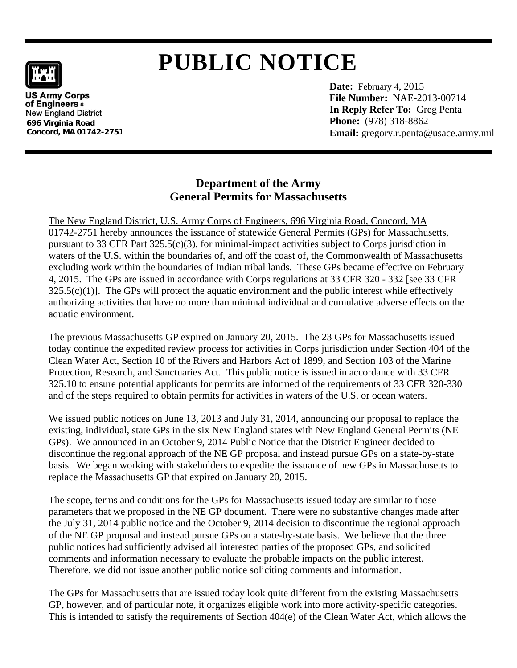# **PUBLIC NOTICE**

**US Army Corps** of Engineers ® **New England District 696 Virginia Road Concord, MA 01742-2751**  **Date:** February 4, 2015  **File Number:** NAE-2013-00714  **In Reply Refer To:** Greg Penta **Phone:** (978) 318-8862  **Email:** gregory.r.penta@usace.army.mil

# **Department of the Army General Permits for Massachusetts**

The New England District, U.S. Army Corps of Engineers, 696 Virginia Road, Concord, MA 01742-2751 hereby announces the issuance of statewide General Permits (GPs) for Massachusetts, pursuant to 33 CFR Part 325.5(c)(3), for minimal-impact activities subject to Corps jurisdiction in waters of the U.S. within the boundaries of, and off the coast of, the Commonwealth of Massachusetts excluding work within the boundaries of Indian tribal lands. These GPs became effective on February 4, 2015. The GPs are issued in accordance with Corps regulations at 33 CFR 320 - 332 [see 33 CFR  $325.5(c)(1)$ . The GPs will protect the aquatic environment and the public interest while effectively authorizing activities that have no more than minimal individual and cumulative adverse effects on the aquatic environment.

The previous Massachusetts GP expired on January 20, 2015. The 23 GPs for Massachusetts issued today continue the expedited review process for activities in Corps jurisdiction under Section 404 of the Clean Water Act, Section 10 of the Rivers and Harbors Act of 1899, and Section 103 of the Marine Protection, Research, and Sanctuaries Act. This public notice is issued in accordance with 33 CFR 325.10 to ensure potential applicants for permits are informed of the requirements of 33 CFR 320-330 and of the steps required to obtain permits for activities in waters of the U.S. or ocean waters.

We issued public notices on June 13, 2013 and July 31, 2014, announcing our proposal to replace the existing, individual, state GPs in the six New England states with New England General Permits (NE GPs). We announced in an October 9, 2014 Public Notice that the District Engineer decided to discontinue the regional approach of the NE GP proposal and instead pursue GPs on a state-by-state basis. We began working with stakeholders to expedite the issuance of new GPs in Massachusetts to replace the Massachusetts GP that expired on January 20, 2015.

The scope, terms and conditions for the GPs for Massachusetts issued today are similar to those parameters that we proposed in the NE GP document. There were no substantive changes made after the July 31, 2014 public notice and the October 9, 2014 decision to discontinue the regional approach of the NE GP proposal and instead pursue GPs on a state-by-state basis. We believe that the three public notices had sufficiently advised all interested parties of the proposed GPs, and solicited comments and information necessary to evaluate the probable impacts on the public interest. Therefore, we did not issue another public notice soliciting comments and information.

The GPs for Massachusetts that are issued today look quite different from the existing Massachusetts GP, however, and of particular note, it organizes eligible work into more activity-specific categories. This is intended to satisfy the requirements of Section 404(e) of the Clean Water Act, which allows the

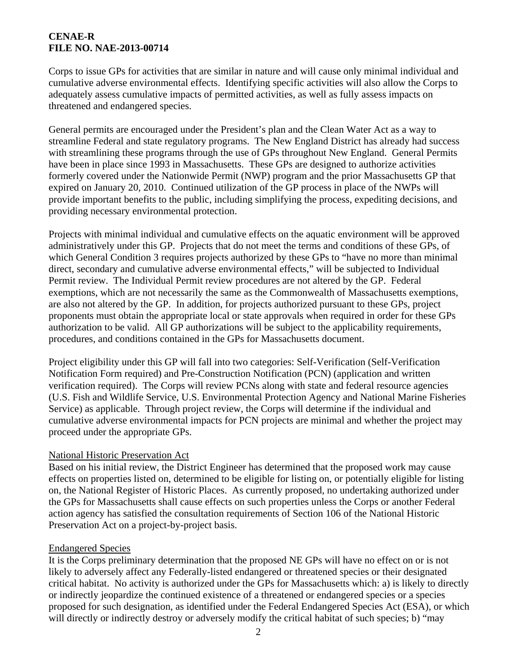# **CENAE-R FILE NO. NAE-2013-00714**

Corps to issue GPs for activities that are similar in nature and will cause only minimal individual and cumulative adverse environmental effects. Identifying specific activities will also allow the Corps to adequately assess cumulative impacts of permitted activities, as well as fully assess impacts on threatened and endangered species.

General permits are encouraged under the President's plan and the Clean Water Act as a way to streamline Federal and state regulatory programs. The New England District has already had success with streamlining these programs through the use of GPs throughout New England. General Permits have been in place since 1993 in Massachusetts. These GPs are designed to authorize activities formerly covered under the Nationwide Permit (NWP) program and the prior Massachusetts GP that expired on January 20, 2010. Continued utilization of the GP process in place of the NWPs will provide important benefits to the public, including simplifying the process, expediting decisions, and providing necessary environmental protection.

Projects with minimal individual and cumulative effects on the aquatic environment will be approved administratively under this GP. Projects that do not meet the terms and conditions of these GPs, of which General Condition 3 requires projects authorized by these GPs to "have no more than minimal direct, secondary and cumulative adverse environmental effects," will be subjected to Individual Permit review.The Individual Permit review procedures are not altered by the GP. Federal exemptions, which are not necessarily the same as the Commonwealth of Massachusetts exemptions, are also not altered by the GP. In addition, for projects authorized pursuant to these GPs, project proponents must obtain the appropriate local or state approvals when required in order for these GPs authorization to be valid. All GP authorizations will be subject to the applicability requirements, procedures, and conditions contained in the GPs for Massachusetts document.

Project eligibility under this GP will fall into two categories: Self-Verification (Self-Verification Notification Form required) and Pre-Construction Notification (PCN) (application and written verification required). The Corps will review PCNs along with state and federal resource agencies (U.S. Fish and Wildlife Service, U.S. Environmental Protection Agency and National Marine Fisheries Service) as applicable. Through project review, the Corps will determine if the individual and cumulative adverse environmental impacts for PCN projects are minimal and whether the project may proceed under the appropriate GPs.

#### National Historic Preservation Act

Based on his initial review, the District Engineer has determined that the proposed work may cause effects on properties listed on, determined to be eligible for listing on, or potentially eligible for listing on, the National Register of Historic Places. As currently proposed, no undertaking authorized under the GPs for Massachusetts shall cause effects on such properties unless the Corps or another Federal action agency has satisfied the consultation requirements of Section 106 of the National Historic Preservation Act on a project-by-project basis.

#### Endangered Species

It is the Corps preliminary determination that the proposed NE GPs will have no effect on or is not likely to adversely affect any Federally-listed endangered or threatened species or their designated critical habitat. No activity is authorized under the GPs for Massachusetts which: a) is likely to directly or indirectly jeopardize the continued existence of a threatened or endangered species or a species proposed for such designation, as identified under the Federal Endangered Species Act (ESA), or which will directly or indirectly destroy or adversely modify the critical habitat of such species; b) "may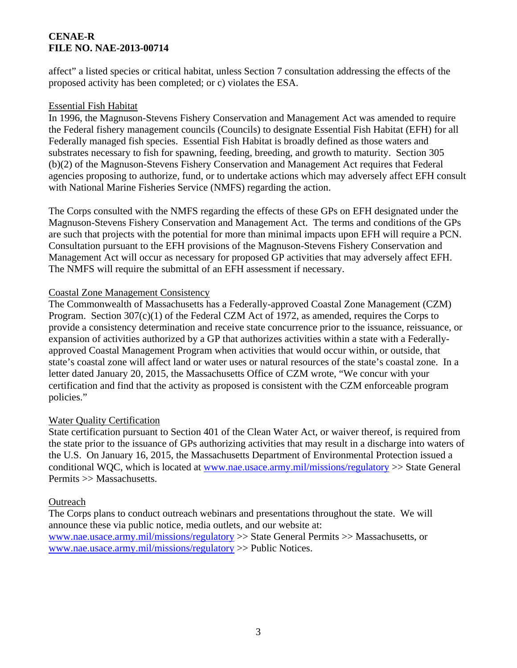# **CENAE-R FILE NO. NAE-2013-00714**

affect" a listed species or critical habitat, unless Section 7 consultation addressing the effects of the proposed activity has been completed; or c) violates the ESA.

#### Essential Fish Habitat

In 1996, the Magnuson-Stevens Fishery Conservation and Management Act was amended to require the Federal fishery management councils (Councils) to designate Essential Fish Habitat (EFH) for all Federally managed fish species. Essential Fish Habitat is broadly defined as those waters and substrates necessary to fish for spawning, feeding, breeding, and growth to maturity. Section 305 (b)(2) of the Magnuson-Stevens Fishery Conservation and Management Act requires that Federal agencies proposing to authorize, fund, or to undertake actions which may adversely affect EFH consult with National Marine Fisheries Service (NMFS) regarding the action.

The Corps consulted with the NMFS regarding the effects of these GPs on EFH designated under the Magnuson-Stevens Fishery Conservation and Management Act. The terms and conditions of the GPs are such that projects with the potential for more than minimal impacts upon EFH will require a PCN. Consultation pursuant to the EFH provisions of the Magnuson-Stevens Fishery Conservation and Management Act will occur as necessary for proposed GP activities that may adversely affect EFH. The NMFS will require the submittal of an EFH assessment if necessary.

# Coastal Zone Management Consistency

The Commonwealth of Massachusetts has a Federally-approved Coastal Zone Management (CZM) Program. Section 307(c)(1) of the Federal CZM Act of 1972, as amended, requires the Corps to provide a consistency determination and receive state concurrence prior to the issuance, reissuance, or expansion of activities authorized by a GP that authorizes activities within a state with a Federallyapproved Coastal Management Program when activities that would occur within, or outside, that state's coastal zone will affect land or water uses or natural resources of the state's coastal zone. In a letter dated January 20, 2015, the Massachusetts Office of CZM wrote, "We concur with your certification and find that the activity as proposed is consistent with the CZM enforceable program policies."

# Water Quality Certification

State certification pursuant to Section 401 of the Clean Water Act, or waiver thereof, is required from the state prior to the issuance of GPs authorizing activities that may result in a discharge into waters of the U.S. On January 16, 2015, the Massachusetts Department of Environmental Protection issued a conditional WQC, which is located at www.nae.usace.army.mil/missions/regulatory >> State General Permits >> Massachusetts.

#### **Outreach**

The Corps plans to conduct outreach webinars and presentations throughout the state. We will announce these via public notice, media outlets, and our website at: www.nae.usace.army.mil/missions/regulatory >> State General Permits >> Massachusetts, or www.nae.usace.army.mil/missions/regulatory >> Public Notices.